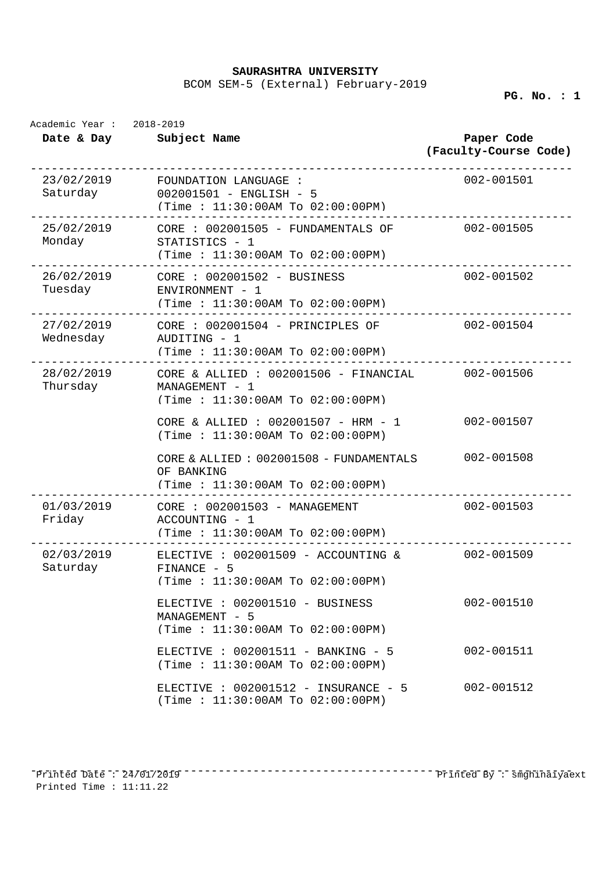**SAURASHTRA UNIVERSITY** 

BCOM SEM-5 (External) February-2019

**PG. No. : 1** 

| Academic Year: 2018-2019 |                                                                                                        |                                     |
|--------------------------|--------------------------------------------------------------------------------------------------------|-------------------------------------|
| Date & Day Subject Name  |                                                                                                        | Paper Code<br>(Faculty-Course Code) |
| 23/02/2019<br>Saturday   | FOUNDATION LANGUAGE :<br>002001501 - ENGLISH - 5<br>(Time: 11:30:00AM To 02:00:00PM)                   | 002-001501                          |
| 25/02/2019<br>Monday     | CORE : 002001505 - FUNDAMENTALS OF 002-001505<br>STATISTICS - 1<br>(Time: 11:30:00AM To 02:00:00PM)    |                                     |
| Tuesday                  | ENVIRONMENT - 1<br>(Time : 11:30:00AM To 02:00:00PM)                                                   | 002-001502                          |
| 27/02/2019<br>Wednesday  | $CORE : 002001504 - PRINCIPLES OF$<br>AUDITING - 1<br>(Time : 11:30:00AM To 02:00:00PM)                | 002-001504                          |
| 28/02/2019<br>Thursday   | CORE & ALLIED : 002001506 - FINANCIAL 002-001506<br>MANAGEMENT - 1<br>(Time: 11:30:00AM To 02:00:00PM) |                                     |
|                          | CORE & ALLIED : $002001507 - HRM - 1$<br>(Time: 11:30:00AM To 02:00:00PM)                              | 002-001507                          |
|                          | CORE & ALLIED : $002001508$ - FUNDAMENTALS<br>OF BANKING<br>(Time: 11:30:00AM To 02:00:00PM)           | 002-001508                          |
| 01/03/2019<br>Friday     | CORE : 002001503 - MANAGEMENT<br>ACCOUNTING - 1<br>(Time: 11:30:00AM To 02:00:00PM)                    | 002-001503                          |
| 02/03/2019<br>Saturday   | ELECTIVE : $002001509 -$ ACCOUNTING &<br>FINANCE - 5<br>(Time: 11:30:00AM To 02:00:00PM)               | 002-001509                          |
|                          | ELECTIVE : 002001510 - BUSINESS<br>MANAGEMENT - 5<br>(Time : 11:30:00AM To 02:00:00PM)                 | $002 - 001510$                      |
|                          | ELECTIVE : $002001511 - BANKING - 5$<br>(Time: 11:30:00AM To 02:00:00PM)                               | $002 - 001511$                      |
|                          | ELECTIVE : $002001512 - INSURANCE - 5$<br>(Time: 11:30:00AM To 02:00:00PM)                             | 002-001512                          |

------------------------------------------------------------------------------ Printed Date : 24/01/2019 Printed By : smghinaiyaextPrinted Time : 11:11.22